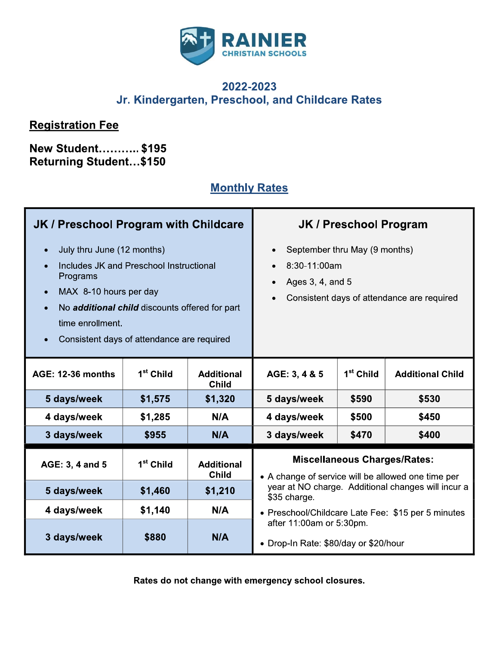

## 2022-2023 Jr. Kindergarten, Preschool, and Childcare Rates

## **Registration Fee**

## **New Student........... \$195** Returning Student...\$150

# **Monthly Rates**

| JK / Preschool Program with Childcare                                                                                                                                                                                                                                                            |                       | <b>JK / Preschool Program</b>     |                                                                                                                                                        |                       |                         |
|--------------------------------------------------------------------------------------------------------------------------------------------------------------------------------------------------------------------------------------------------------------------------------------------------|-----------------------|-----------------------------------|--------------------------------------------------------------------------------------------------------------------------------------------------------|-----------------------|-------------------------|
| July thru June (12 months)<br>$\bullet$<br>Includes JK and Preschool Instructional<br>$\bullet$<br>Programs<br>MAX 8-10 hours per day<br>$\bullet$<br>No additional child discounts offered for part<br>$\bullet$<br>time enrollment.<br>Consistent days of attendance are required<br>$\bullet$ |                       |                                   | September thru May (9 months)<br>$\bullet$<br>8:30-11:00am<br>$\bullet$<br>Ages 3, 4, and 5<br>$\bullet$<br>Consistent days of attendance are required |                       |                         |
| <b>AGE: 12-36 months</b>                                                                                                                                                                                                                                                                         | 1 <sup>st</sup> Child | <b>Additional</b><br><b>Child</b> | AGE: 3, 4 & 5                                                                                                                                          | 1 <sup>st</sup> Child | <b>Additional Child</b> |
| 5 days/week                                                                                                                                                                                                                                                                                      | \$1,575               | \$1,320                           | 5 days/week                                                                                                                                            | \$590                 | \$530                   |
| 4 days/week                                                                                                                                                                                                                                                                                      | \$1,285               | N/A                               | 4 days/week                                                                                                                                            | \$500                 | \$450                   |
| 3 days/week                                                                                                                                                                                                                                                                                      | \$955                 | N/A                               | 3 days/week                                                                                                                                            | \$470                 | \$400                   |
| AGE: 3, 4 and 5                                                                                                                                                                                                                                                                                  | 1 <sup>st</sup> Child | <b>Additional</b><br><b>Child</b> | <b>Miscellaneous Charges/Rates:</b><br>• A change of service will be allowed one time per                                                              |                       |                         |
| 5 days/week                                                                                                                                                                                                                                                                                      | \$1,460               | \$1,210                           | year at NO charge. Additional changes will incur a<br>\$35 charge.                                                                                     |                       |                         |
| 4 days/week                                                                                                                                                                                                                                                                                      | \$1,140               | N/A                               | • Preschool/Childcare Late Fee: \$15 per 5 minutes                                                                                                     |                       |                         |
| 3 days/week                                                                                                                                                                                                                                                                                      | \$880                 | N/A                               | after 11:00am or 5:30pm.<br>• Drop-In Rate: \$80/day or \$20/hour                                                                                      |                       |                         |

Rates do not change with emergency school closures.